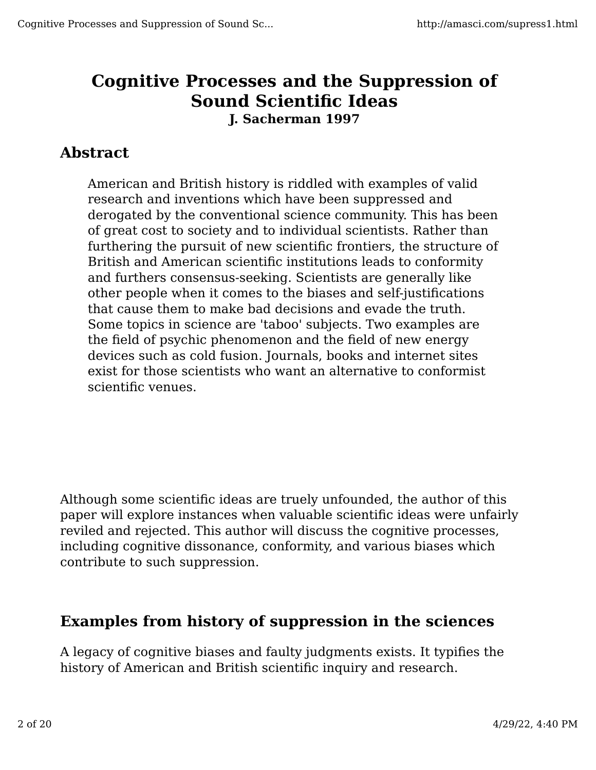# **Cognitive Processes and the Suppression of Sound Scientific Ideas J. Sacherman 1997**

#### **Abstract**

American and British history is riddled with examples of valid research and inventions which have been suppressed and derogated by the conventional science community. This has been of great cost to society and to individual scientists. Rather than furthering the pursuit of new scientific frontiers, the structure of British and American scientific institutions leads to conformity and furthers consensus-seeking. Scientists are generally like other people when it comes to the biases and self-justifications that cause them to make bad decisions and evade the truth. Some topics in science are 'taboo' subjects. Two examples are the field of psychic phenomenon and the field of new energy devices such as cold fusion. Journals, books and internet sites exist for those scientists who want an alternative to conformist scientific venues.

Although some scientific ideas are truely unfounded, the author of this paper will explore instances when valuable scientific ideas were unfairly reviled and rejected. This author will discuss the cognitive processes, including cognitive dissonance, conformity, and various biases which contribute to such suppression.

#### **Examples from history of suppression in the sciences**

A legacy of cognitive biases and faulty judgments exists. It typifies the history of American and British scientific inquiry and research.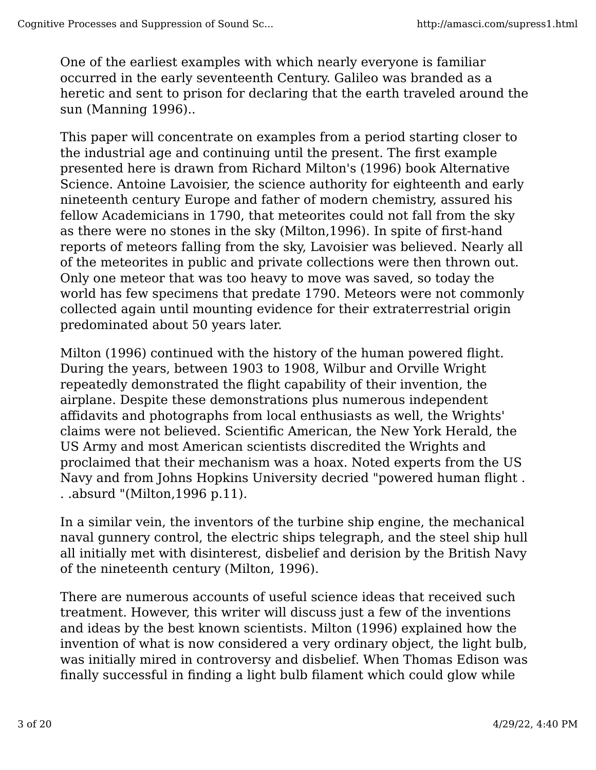One of the earliest examples with which nearly everyone is familiar occurred in the early seventeenth Century. Galileo was branded as a heretic and sent to prison for declaring that the earth traveled around the sun (Manning 1996)..

This paper will concentrate on examples from a period starting closer to the industrial age and continuing until the present. The first example presented here is drawn from Richard Milton's (1996) book Alternative Science. Antoine Lavoisier, the science authority for eighteenth and early nineteenth century Europe and father of modern chemistry, assured his fellow Academicians in 1790, that meteorites could not fall from the sky as there were no stones in the sky (Milton,1996). In spite of first-hand reports of meteors falling from the sky, Lavoisier was believed. Nearly all of the meteorites in public and private collections were then thrown out. Only one meteor that was too heavy to move was saved, so today the world has few specimens that predate 1790. Meteors were not commonly collected again until mounting evidence for their extraterrestrial origin predominated about 50 years later.

Milton (1996) continued with the history of the human powered flight. During the years, between 1903 to 1908, Wilbur and Orville Wright repeatedly demonstrated the flight capability of their invention, the airplane. Despite these demonstrations plus numerous independent affidavits and photographs from local enthusiasts as well, the Wrights' claims were not believed. Scientific American, the New York Herald, the US Army and most American scientists discredited the Wrights and proclaimed that their mechanism was a hoax. Noted experts from the US Navy and from Johns Hopkins University decried "powered human flight . . .absurd "(Milton,1996 p.11).

In a similar vein, the inventors of the turbine ship engine, the mechanical naval gunnery control, the electric ships telegraph, and the steel ship hull all initially met with disinterest, disbelief and derision by the British Navy of the nineteenth century (Milton, 1996).

There are numerous accounts of useful science ideas that received such treatment. However, this writer will discuss just a few of the inventions and ideas by the best known scientists. Milton (1996) explained how the invention of what is now considered a very ordinary object, the light bulb, was initially mired in controversy and disbelief. When Thomas Edison was finally successful in finding a light bulb filament which could glow while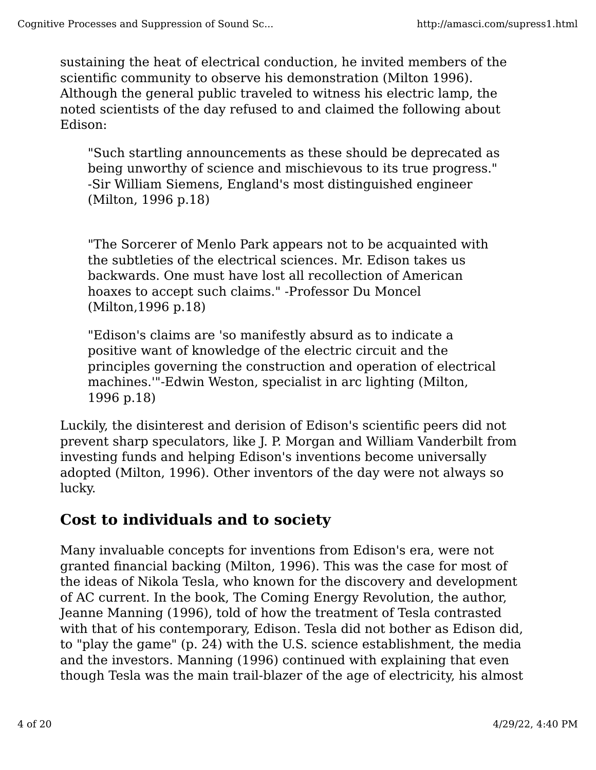sustaining the heat of electrical conduction, he invited members of the scientific community to observe his demonstration (Milton 1996). Although the general public traveled to witness his electric lamp, the noted scientists of the day refused to and claimed the following about Edison:

"Such startling announcements as these should be deprecated as being unworthy of science and mischievous to its true progress." -Sir William Siemens, England's most distinguished engineer (Milton, 1996 p.18)

"The Sorcerer of Menlo Park appears not to be acquainted with the subtleties of the electrical sciences. Mr. Edison takes us backwards. One must have lost all recollection of American hoaxes to accept such claims." -Professor Du Moncel (Milton,1996 p.18)

"Edison's claims are 'so manifestly absurd as to indicate a positive want of knowledge of the electric circuit and the principles governing the construction and operation of electrical machines.'"-Edwin Weston, specialist in arc lighting (Milton, 1996 p.18)

Luckily, the disinterest and derision of Edison's scientific peers did not prevent sharp speculators, like J. P. Morgan and William Vanderbilt from investing funds and helping Edison's inventions become universally adopted (Milton, 1996). Other inventors of the day were not always so lucky.

#### **Cost to individuals and to society**

Many invaluable concepts for inventions from Edison's era, were not granted financial backing (Milton, 1996). This was the case for most of the ideas of Nikola Tesla, who known for the discovery and development of AC current. In the book, The Coming Energy Revolution, the author, Jeanne Manning (1996), told of how the treatment of Tesla contrasted with that of his contemporary, Edison. Tesla did not bother as Edison did, to "play the game" (p. 24) with the U.S. science establishment, the media and the investors. Manning (1996) continued with explaining that even though Tesla was the main trail-blazer of the age of electricity, his almost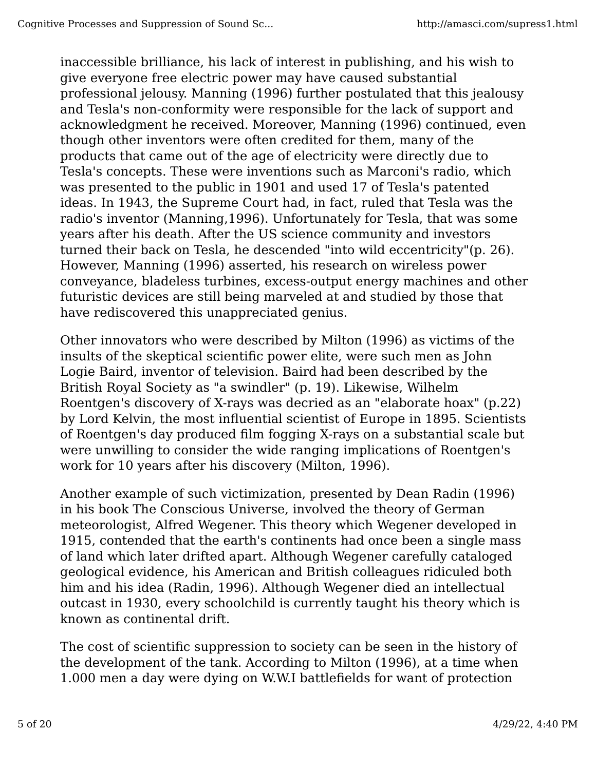inaccessible brilliance, his lack of interest in publishing, and his wish to give everyone free electric power may have caused substantial professional jelousy. Manning (1996) further postulated that this jealousy and Tesla's non-conformity were responsible for the lack of support and acknowledgment he received. Moreover, Manning (1996) continued, even though other inventors were often credited for them, many of the products that came out of the age of electricity were directly due to Tesla's concepts. These were inventions such as Marconi's radio, which was presented to the public in 1901 and used 17 of Tesla's patented ideas. In 1943, the Supreme Court had, in fact, ruled that Tesla was the radio's inventor (Manning,1996). Unfortunately for Tesla, that was some years after his death. After the US science community and investors turned their back on Tesla, he descended "into wild eccentricity"(p. 26). However, Manning (1996) asserted, his research on wireless power conveyance, bladeless turbines, excess-output energy machines and other futuristic devices are still being marveled at and studied by those that have rediscovered this unappreciated genius.

Other innovators who were described by Milton (1996) as victims of the insults of the skeptical scientific power elite, were such men as John Logie Baird, inventor of television. Baird had been described by the British Royal Society as "a swindler" (p. 19). Likewise, Wilhelm Roentgen's discovery of X-rays was decried as an "elaborate hoax" (p.22) by Lord Kelvin, the most influential scientist of Europe in 1895. Scientists of Roentgen's day produced film fogging X-rays on a substantial scale but were unwilling to consider the wide ranging implications of Roentgen's work for 10 years after his discovery (Milton, 1996).

Another example of such victimization, presented by Dean Radin (1996) in his book The Conscious Universe, involved the theory of German meteorologist, Alfred Wegener. This theory which Wegener developed in 1915, contended that the earth's continents had once been a single mass of land which later drifted apart. Although Wegener carefully cataloged geological evidence, his American and British colleagues ridiculed both him and his idea (Radin, 1996). Although Wegener died an intellectual outcast in 1930, every schoolchild is currently taught his theory which is known as continental drift.

The cost of scientific suppression to society can be seen in the history of the development of the tank. According to Milton (1996), at a time when 1.000 men a day were dying on W.W.I battlefields for want of protection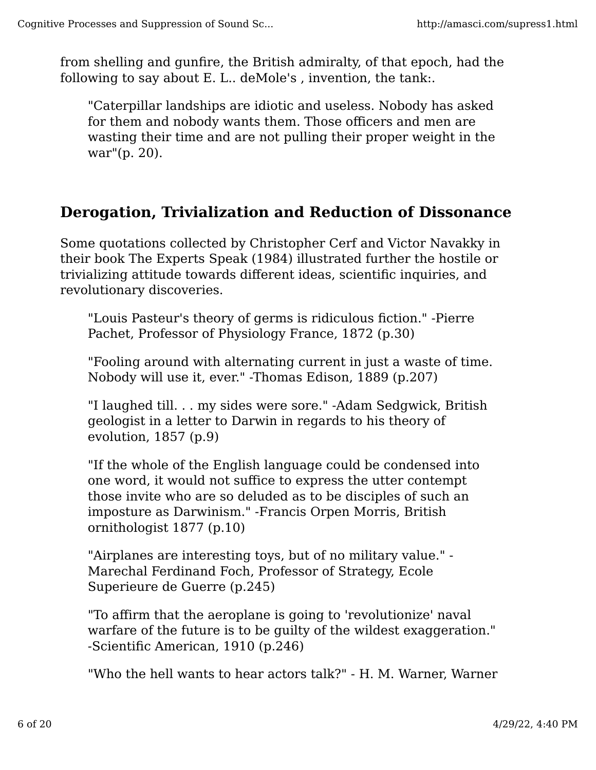from shelling and gunfire, the British admiralty, of that epoch, had the following to say about E. L.. deMole's , invention, the tank:.

"Caterpillar landships are idiotic and useless. Nobody has asked for them and nobody wants them. Those officers and men are wasting their time and are not pulling their proper weight in the war"(p. 20).

#### **Derogation, Trivialization and Reduction of Dissonance**

Some quotations collected by Christopher Cerf and Victor Navakky in their book The Experts Speak (1984) illustrated further the hostile or trivializing attitude towards different ideas, scientific inquiries, and revolutionary discoveries.

"Louis Pasteur's theory of germs is ridiculous fiction." -Pierre Pachet, Professor of Physiology France, 1872 (p.30)

"Fooling around with alternating current in just a waste of time. Nobody will use it, ever." -Thomas Edison, 1889 (p.207)

"I laughed till. . . my sides were sore." -Adam Sedgwick, British geologist in a letter to Darwin in regards to his theory of evolution, 1857 (p.9)

"If the whole of the English language could be condensed into one word, it would not suffice to express the utter contempt those invite who are so deluded as to be disciples of such an imposture as Darwinism." -Francis Orpen Morris, British ornithologist 1877 (p.10)

"Airplanes are interesting toys, but of no military value." - Marechal Ferdinand Foch, Professor of Strategy, Ecole Superieure de Guerre (p.245)

"To affirm that the aeroplane is going to 'revolutionize' naval warfare of the future is to be guilty of the wildest exaggeration." -Scientific American, 1910 (p.246)

"Who the hell wants to hear actors talk?" - H. M. Warner, Warner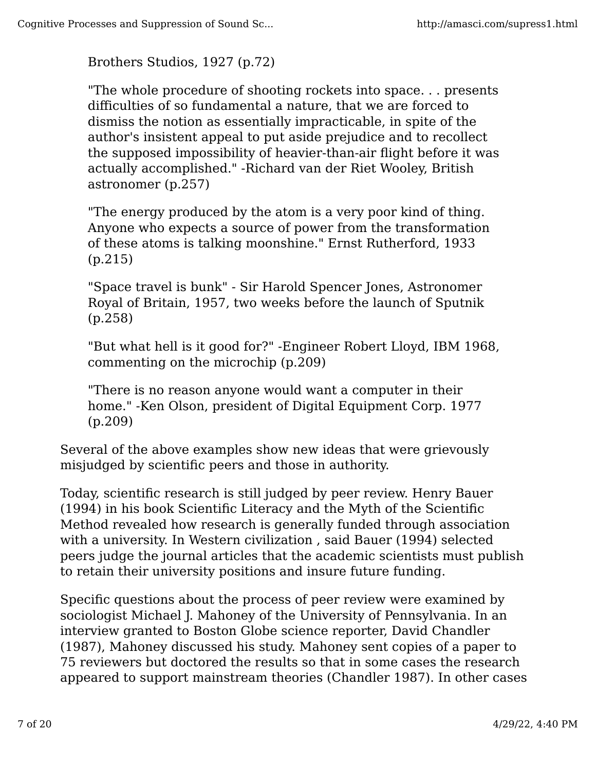Brothers Studios, 1927 (p.72)

"The whole procedure of shooting rockets into space. . . presents difficulties of so fundamental a nature, that we are forced to dismiss the notion as essentially impracticable, in spite of the author's insistent appeal to put aside prejudice and to recollect the supposed impossibility of heavier-than-air flight before it was actually accomplished." -Richard van der Riet Wooley, British astronomer (p.257)

"The energy produced by the atom is a very poor kind of thing. Anyone who expects a source of power from the transformation of these atoms is talking moonshine." Ernst Rutherford, 1933 (p.215)

"Space travel is bunk" - Sir Harold Spencer Jones, Astronomer Royal of Britain, 1957, two weeks before the launch of Sputnik (p.258)

"But what hell is it good for?" -Engineer Robert Lloyd, IBM 1968, commenting on the microchip (p.209)

"There is no reason anyone would want a computer in their home." -Ken Olson, president of Digital Equipment Corp. 1977 (p.209)

Several of the above examples show new ideas that were grievously misjudged by scientific peers and those in authority.

Today, scientific research is still judged by peer review. Henry Bauer (1994) in his book Scientific Literacy and the Myth of the Scientific Method revealed how research is generally funded through association with a university. In Western civilization , said Bauer (1994) selected peers judge the journal articles that the academic scientists must publish to retain their university positions and insure future funding.

Specific questions about the process of peer review were examined by sociologist Michael J. Mahoney of the University of Pennsylvania. In an interview granted to Boston Globe science reporter, David Chandler (1987), Mahoney discussed his study. Mahoney sent copies of a paper to 75 reviewers but doctored the results so that in some cases the research appeared to support mainstream theories (Chandler 1987). In other cases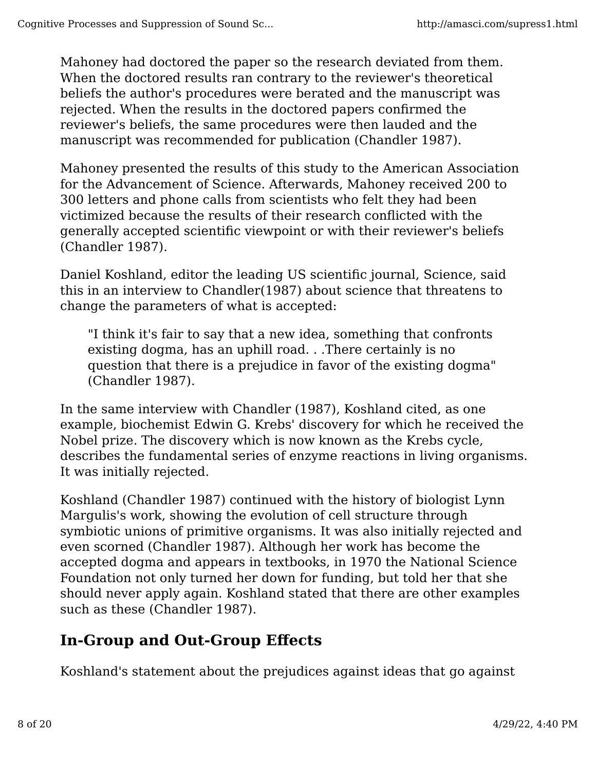Mahoney had doctored the paper so the research deviated from them. When the doctored results ran contrary to the reviewer's theoretical beliefs the author's procedures were berated and the manuscript was rejected. When the results in the doctored papers confirmed the reviewer's beliefs, the same procedures were then lauded and the manuscript was recommended for publication (Chandler 1987).

Mahoney presented the results of this study to the American Association for the Advancement of Science. Afterwards, Mahoney received 200 to 300 letters and phone calls from scientists who felt they had been victimized because the results of their research conflicted with the generally accepted scientific viewpoint or with their reviewer's beliefs (Chandler 1987).

Daniel Koshland, editor the leading US scientific journal, Science, said this in an interview to Chandler(1987) about science that threatens to change the parameters of what is accepted:

"I think it's fair to say that a new idea, something that confronts existing dogma, has an uphill road. . .There certainly is no question that there is a prejudice in favor of the existing dogma" (Chandler 1987).

In the same interview with Chandler (1987), Koshland cited, as one example, biochemist Edwin G. Krebs' discovery for which he received the Nobel prize. The discovery which is now known as the Krebs cycle, describes the fundamental series of enzyme reactions in living organisms. It was initially rejected.

Koshland (Chandler 1987) continued with the history of biologist Lynn Margulis's work, showing the evolution of cell structure through symbiotic unions of primitive organisms. It was also initially rejected and even scorned (Chandler 1987). Although her work has become the accepted dogma and appears in textbooks, in 1970 the National Science Foundation not only turned her down for funding, but told her that she should never apply again. Koshland stated that there are other examples such as these (Chandler 1987).

# **In-Group and Out-Group Effects**

Koshland's statement about the prejudices against ideas that go against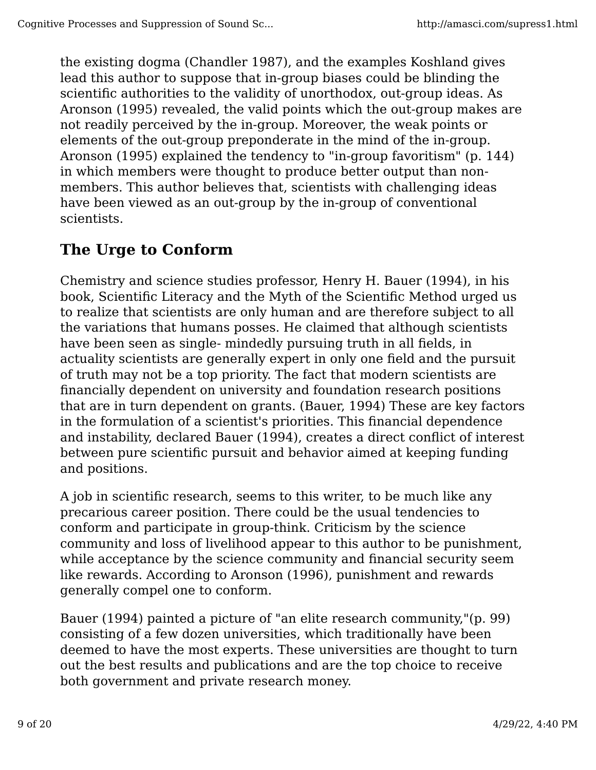the existing dogma (Chandler 1987), and the examples Koshland gives lead this author to suppose that in-group biases could be blinding the scientific authorities to the validity of unorthodox, out-group ideas. As Aronson (1995) revealed, the valid points which the out-group makes are not readily perceived by the in-group. Moreover, the weak points or elements of the out-group preponderate in the mind of the in-group. Aronson (1995) explained the tendency to "in-group favoritism" (p. 144) in which members were thought to produce better output than nonmembers. This author believes that, scientists with challenging ideas have been viewed as an out-group by the in-group of conventional scientists.

# **The Urge to Conform**

Chemistry and science studies professor, Henry H. Bauer (1994), in his book, Scientific Literacy and the Myth of the Scientific Method urged us to realize that scientists are only human and are therefore subject to all the variations that humans posses. He claimed that although scientists have been seen as single- mindedly pursuing truth in all fields, in actuality scientists are generally expert in only one field and the pursuit of truth may not be a top priority. The fact that modern scientists are financially dependent on university and foundation research positions that are in turn dependent on grants. (Bauer, 1994) These are key factors in the formulation of a scientist's priorities. This financial dependence and instability, declared Bauer (1994), creates a direct conflict of interest between pure scientific pursuit and behavior aimed at keeping funding and positions.

A job in scientific research, seems to this writer, to be much like any precarious career position. There could be the usual tendencies to conform and participate in group-think. Criticism by the science community and loss of livelihood appear to this author to be punishment, while acceptance by the science community and financial security seem like rewards. According to Aronson (1996), punishment and rewards generally compel one to conform.

Bauer (1994) painted a picture of "an elite research community,"(p. 99) consisting of a few dozen universities, which traditionally have been deemed to have the most experts. These universities are thought to turn out the best results and publications and are the top choice to receive both government and private research money.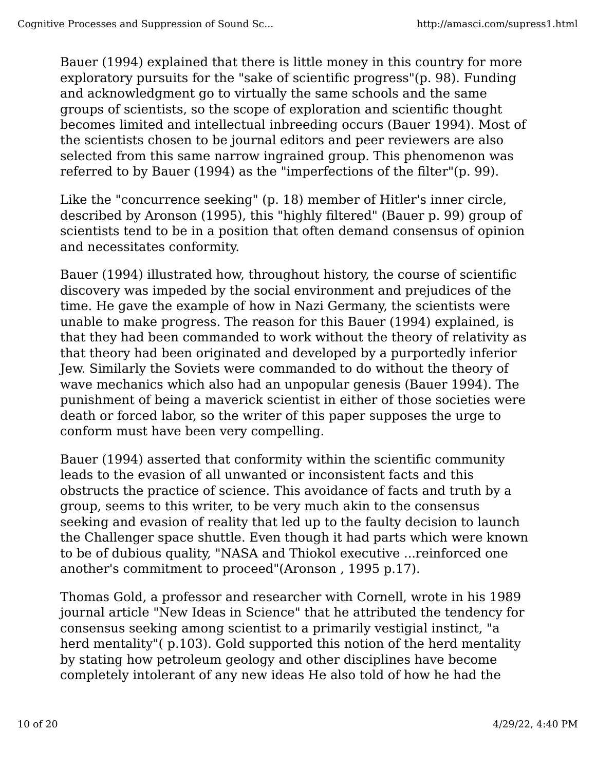Bauer (1994) explained that there is little money in this country for more exploratory pursuits for the "sake of scientific progress"(p. 98). Funding and acknowledgment go to virtually the same schools and the same groups of scientists, so the scope of exploration and scientific thought becomes limited and intellectual inbreeding occurs (Bauer 1994). Most of the scientists chosen to be journal editors and peer reviewers are also selected from this same narrow ingrained group. This phenomenon was referred to by Bauer (1994) as the "imperfections of the filter"(p. 99).

Like the "concurrence seeking" (p. 18) member of Hitler's inner circle, described by Aronson (1995), this "highly filtered" (Bauer p. 99) group of scientists tend to be in a position that often demand consensus of opinion and necessitates conformity.

Bauer (1994) illustrated how, throughout history, the course of scientific discovery was impeded by the social environment and prejudices of the time. He gave the example of how in Nazi Germany, the scientists were unable to make progress. The reason for this Bauer (1994) explained, is that they had been commanded to work without the theory of relativity as that theory had been originated and developed by a purportedly inferior Jew. Similarly the Soviets were commanded to do without the theory of wave mechanics which also had an unpopular genesis (Bauer 1994). The punishment of being a maverick scientist in either of those societies were death or forced labor, so the writer of this paper supposes the urge to conform must have been very compelling.

Bauer (1994) asserted that conformity within the scientific community leads to the evasion of all unwanted or inconsistent facts and this obstructs the practice of science. This avoidance of facts and truth by a group, seems to this writer, to be very much akin to the consensus seeking and evasion of reality that led up to the faulty decision to launch the Challenger space shuttle. Even though it had parts which were known to be of dubious quality, "NASA and Thiokol executive ...reinforced one another's commitment to proceed"(Aronson , 1995 p.17).

Thomas Gold, a professor and researcher with Cornell, wrote in his 1989 journal article "New Ideas in Science" that he attributed the tendency for consensus seeking among scientist to a primarily vestigial instinct, "a herd mentality"( p.103). Gold supported this notion of the herd mentality by stating how petroleum geology and other disciplines have become completely intolerant of any new ideas He also told of how he had the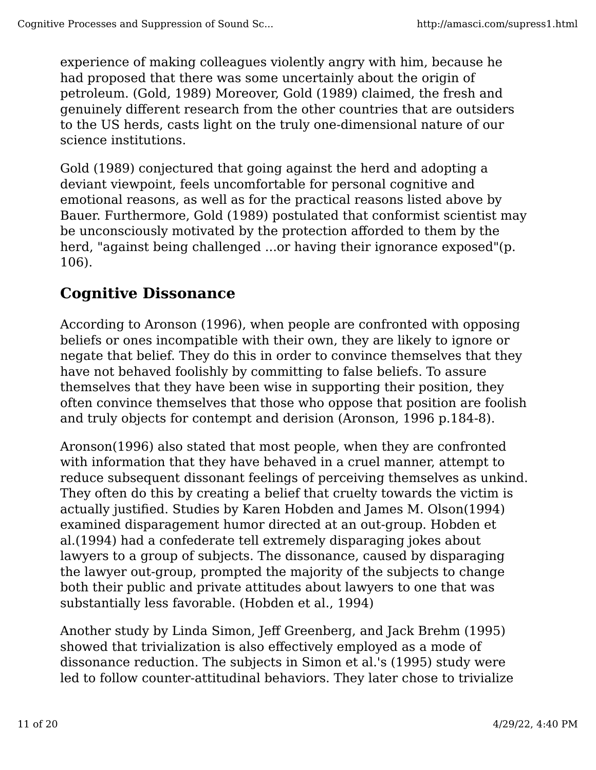experience of making colleagues violently angry with him, because he had proposed that there was some uncertainly about the origin of petroleum. (Gold, 1989) Moreover, Gold (1989) claimed, the fresh and genuinely different research from the other countries that are outsiders to the US herds, casts light on the truly one-dimensional nature of our science institutions.

Gold (1989) conjectured that going against the herd and adopting a deviant viewpoint, feels uncomfortable for personal cognitive and emotional reasons, as well as for the practical reasons listed above by Bauer. Furthermore, Gold (1989) postulated that conformist scientist may be unconsciously motivated by the protection afforded to them by the herd, "against being challenged ...or having their ignorance exposed"(p. 106).

#### **Cognitive Dissonance**

According to Aronson (1996), when people are confronted with opposing beliefs or ones incompatible with their own, they are likely to ignore or negate that belief. They do this in order to convince themselves that they have not behaved foolishly by committing to false beliefs. To assure themselves that they have been wise in supporting their position, they often convince themselves that those who oppose that position are foolish and truly objects for contempt and derision (Aronson, 1996 p.184-8).

Aronson(1996) also stated that most people, when they are confronted with information that they have behaved in a cruel manner, attempt to reduce subsequent dissonant feelings of perceiving themselves as unkind. They often do this by creating a belief that cruelty towards the victim is actually justified. Studies by Karen Hobden and James M. Olson(1994) examined disparagement humor directed at an out-group. Hobden et al.(1994) had a confederate tell extremely disparaging jokes about lawyers to a group of subjects. The dissonance, caused by disparaging the lawyer out-group, prompted the majority of the subjects to change both their public and private attitudes about lawyers to one that was substantially less favorable. (Hobden et al., 1994)

Another study by Linda Simon, Jeff Greenberg, and Jack Brehm (1995) showed that trivialization is also effectively employed as a mode of dissonance reduction. The subjects in Simon et al.'s (1995) study were led to follow counter-attitudinal behaviors. They later chose to trivialize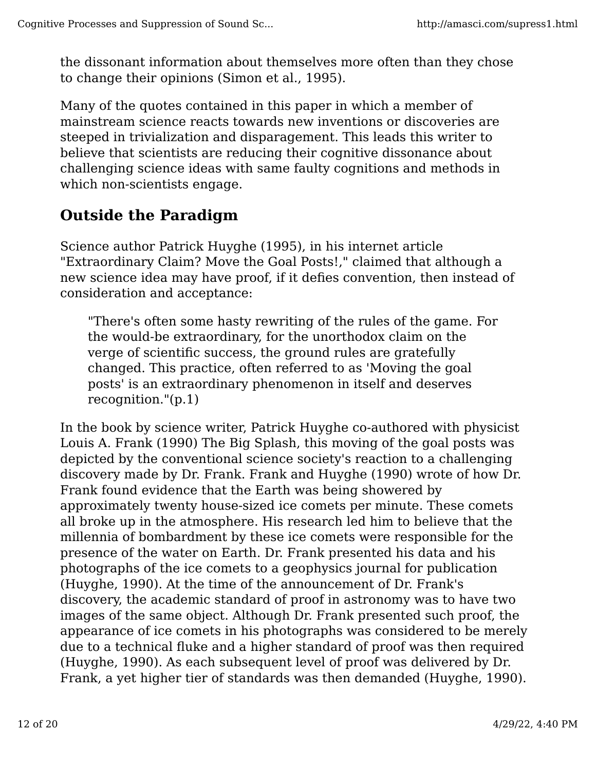the dissonant information about themselves more often than they chose to change their opinions (Simon et al., 1995).

Many of the quotes contained in this paper in which a member of mainstream science reacts towards new inventions or discoveries are steeped in trivialization and disparagement. This leads this writer to believe that scientists are reducing their cognitive dissonance about challenging science ideas with same faulty cognitions and methods in which non-scientists engage.

#### **Outside the Paradigm**

Science author Patrick Huyghe (1995), in his internet article "Extraordinary Claim? Move the Goal Posts!," claimed that although a new science idea may have proof, if it defies convention, then instead of consideration and acceptance:

"There's often some hasty rewriting of the rules of the game. For the would-be extraordinary, for the unorthodox claim on the verge of scientific success, the ground rules are gratefully changed. This practice, often referred to as 'Moving the goal posts' is an extraordinary phenomenon in itself and deserves recognition."(p.1)

In the book by science writer, Patrick Huyghe co-authored with physicist Louis A. Frank (1990) The Big Splash, this moving of the goal posts was depicted by the conventional science society's reaction to a challenging discovery made by Dr. Frank. Frank and Huyghe (1990) wrote of how Dr. Frank found evidence that the Earth was being showered by approximately twenty house-sized ice comets per minute. These comets all broke up in the atmosphere. His research led him to believe that the millennia of bombardment by these ice comets were responsible for the presence of the water on Earth. Dr. Frank presented his data and his photographs of the ice comets to a geophysics journal for publication (Huyghe, 1990). At the time of the announcement of Dr. Frank's discovery, the academic standard of proof in astronomy was to have two images of the same object. Although Dr. Frank presented such proof, the appearance of ice comets in his photographs was considered to be merely due to a technical fluke and a higher standard of proof was then required (Huyghe, 1990). As each subsequent level of proof was delivered by Dr. Frank, a yet higher tier of standards was then demanded (Huyghe, 1990).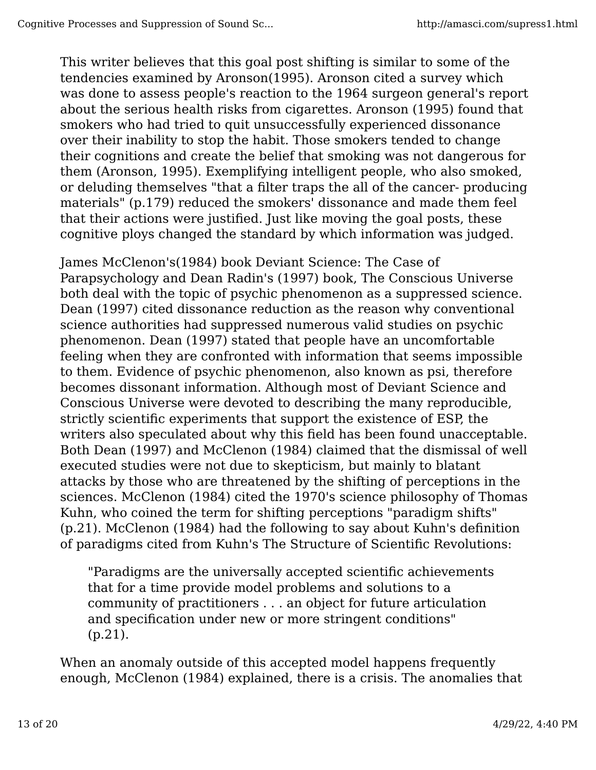This writer believes that this goal post shifting is similar to some of the tendencies examined by Aronson(1995). Aronson cited a survey which was done to assess people's reaction to the 1964 surgeon general's report about the serious health risks from cigarettes. Aronson (1995) found that smokers who had tried to quit unsuccessfully experienced dissonance over their inability to stop the habit. Those smokers tended to change their cognitions and create the belief that smoking was not dangerous for them (Aronson, 1995). Exemplifying intelligent people, who also smoked, or deluding themselves "that a filter traps the all of the cancer- producing materials" (p.179) reduced the smokers' dissonance and made them feel that their actions were justified. Just like moving the goal posts, these cognitive ploys changed the standard by which information was judged.

James McClenon's(1984) book Deviant Science: The Case of Parapsychology and Dean Radin's (1997) book, The Conscious Universe both deal with the topic of psychic phenomenon as a suppressed science. Dean (1997) cited dissonance reduction as the reason why conventional science authorities had suppressed numerous valid studies on psychic phenomenon. Dean (1997) stated that people have an uncomfortable feeling when they are confronted with information that seems impossible to them. Evidence of psychic phenomenon, also known as psi, therefore becomes dissonant information. Although most of Deviant Science and Conscious Universe were devoted to describing the many reproducible, strictly scientific experiments that support the existence of ESP, the writers also speculated about why this field has been found unacceptable. Both Dean (1997) and McClenon (1984) claimed that the dismissal of well executed studies were not due to skepticism, but mainly to blatant attacks by those who are threatened by the shifting of perceptions in the sciences. McClenon (1984) cited the 1970's science philosophy of Thomas Kuhn, who coined the term for shifting perceptions "paradigm shifts" (p.21). McClenon (1984) had the following to say about Kuhn's definition of paradigms cited from Kuhn's The Structure of Scientific Revolutions:

"Paradigms are the universally accepted scientific achievements that for a time provide model problems and solutions to a community of practitioners . . . an object for future articulation and specification under new or more stringent conditions" (p.21).

When an anomaly outside of this accepted model happens frequently enough, McClenon (1984) explained, there is a crisis. The anomalies that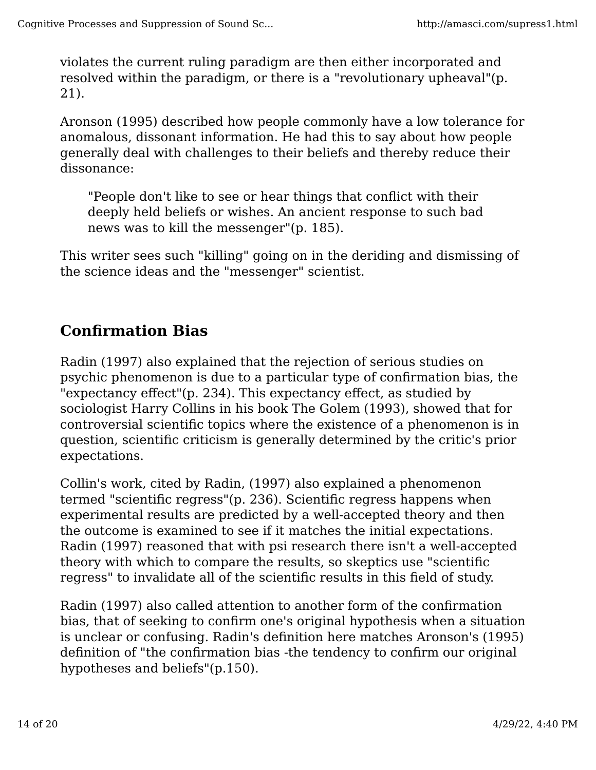violates the current ruling paradigm are then either incorporated and resolved within the paradigm, or there is a "revolutionary upheaval"(p. 21).

Aronson (1995) described how people commonly have a low tolerance for anomalous, dissonant information. He had this to say about how people generally deal with challenges to their beliefs and thereby reduce their dissonance:

"People don't like to see or hear things that conflict with their deeply held beliefs or wishes. An ancient response to such bad news was to kill the messenger"(p. 185).

This writer sees such "killing" going on in the deriding and dismissing of the science ideas and the "messenger" scientist.

#### **Confirmation Bias**

Radin (1997) also explained that the rejection of serious studies on psychic phenomenon is due to a particular type of confirmation bias, the "expectancy effect"(p. 234). This expectancy effect, as studied by sociologist Harry Collins in his book The Golem (1993), showed that for controversial scientific topics where the existence of a phenomenon is in question, scientific criticism is generally determined by the critic's prior expectations.

Collin's work, cited by Radin, (1997) also explained a phenomenon termed "scientific regress"(p. 236). Scientific regress happens when experimental results are predicted by a well-accepted theory and then the outcome is examined to see if it matches the initial expectations. Radin (1997) reasoned that with psi research there isn't a well-accepted theory with which to compare the results, so skeptics use "scientific regress" to invalidate all of the scientific results in this field of study.

Radin (1997) also called attention to another form of the confirmation bias, that of seeking to confirm one's original hypothesis when a situation is unclear or confusing. Radin's definition here matches Aronson's (1995) definition of "the confirmation bias -the tendency to confirm our original hypotheses and beliefs"(p.150).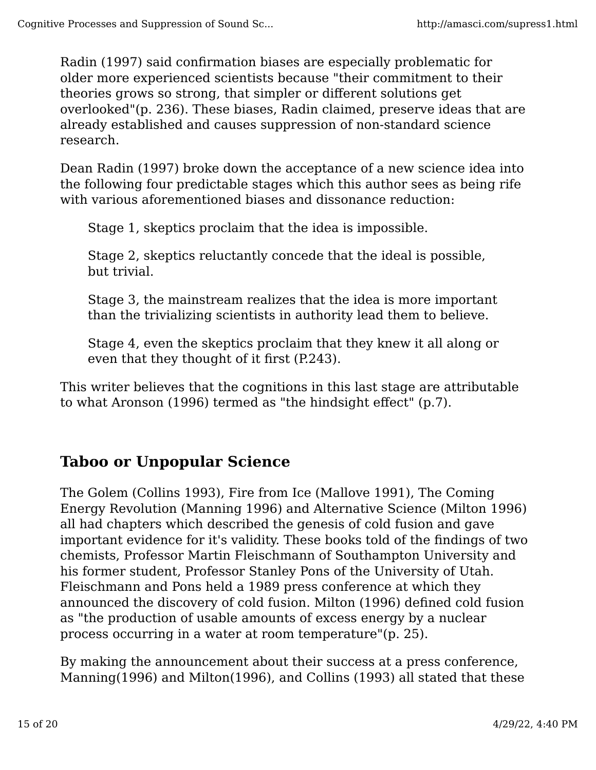Radin (1997) said confirmation biases are especially problematic for older more experienced scientists because "their commitment to their theories grows so strong, that simpler or different solutions get overlooked"(p. 236). These biases, Radin claimed, preserve ideas that are already established and causes suppression of non-standard science research.

Dean Radin (1997) broke down the acceptance of a new science idea into the following four predictable stages which this author sees as being rife with various aforementioned biases and dissonance reduction:

Stage 1, skeptics proclaim that the idea is impossible.

Stage 2, skeptics reluctantly concede that the ideal is possible, but trivial.

Stage 3, the mainstream realizes that the idea is more important than the trivializing scientists in authority lead them to believe.

Stage 4, even the skeptics proclaim that they knew it all along or even that they thought of it first (P.243).

This writer believes that the cognitions in this last stage are attributable to what Aronson (1996) termed as "the hindsight effect" (p.7).

## **Taboo or Unpopular Science**

The Golem (Collins 1993), Fire from Ice (Mallove 1991), The Coming Energy Revolution (Manning 1996) and Alternative Science (Milton 1996) all had chapters which described the genesis of cold fusion and gave important evidence for it's validity. These books told of the findings of two chemists, Professor Martin Fleischmann of Southampton University and his former student, Professor Stanley Pons of the University of Utah. Fleischmann and Pons held a 1989 press conference at which they announced the discovery of cold fusion. Milton (1996) defined cold fusion as "the production of usable amounts of excess energy by a nuclear process occurring in a water at room temperature"(p. 25).

By making the announcement about their success at a press conference, Manning(1996) and Milton(1996), and Collins (1993) all stated that these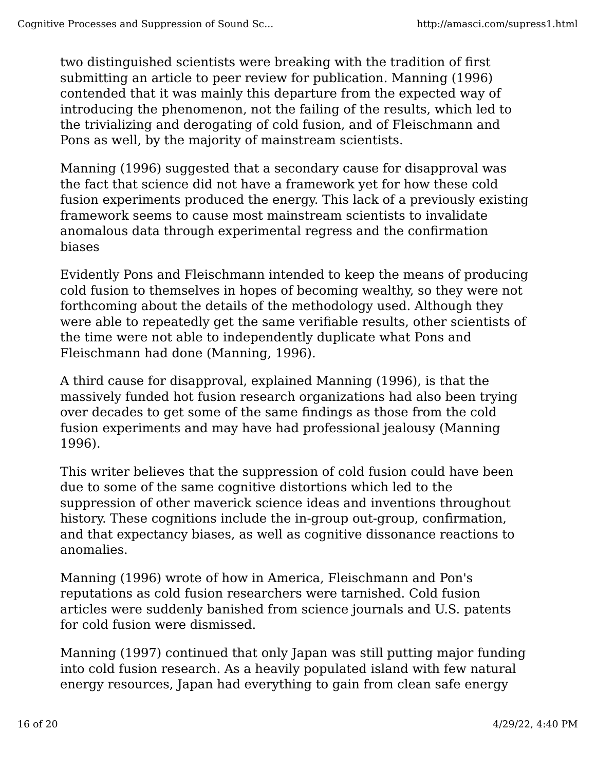two distinguished scientists were breaking with the tradition of first submitting an article to peer review for publication. Manning (1996) contended that it was mainly this departure from the expected way of introducing the phenomenon, not the failing of the results, which led to the trivializing and derogating of cold fusion, and of Fleischmann and Pons as well, by the majority of mainstream scientists.

Manning (1996) suggested that a secondary cause for disapproval was the fact that science did not have a framework yet for how these cold fusion experiments produced the energy. This lack of a previously existing framework seems to cause most mainstream scientists to invalidate anomalous data through experimental regress and the confirmation biases

Evidently Pons and Fleischmann intended to keep the means of producing cold fusion to themselves in hopes of becoming wealthy, so they were not forthcoming about the details of the methodology used. Although they were able to repeatedly get the same verifiable results, other scientists of the time were not able to independently duplicate what Pons and Fleischmann had done (Manning, 1996).

A third cause for disapproval, explained Manning (1996), is that the massively funded hot fusion research organizations had also been trying over decades to get some of the same findings as those from the cold fusion experiments and may have had professional jealousy (Manning 1996).

This writer believes that the suppression of cold fusion could have been due to some of the same cognitive distortions which led to the suppression of other maverick science ideas and inventions throughout history. These cognitions include the in-group out-group, confirmation, and that expectancy biases, as well as cognitive dissonance reactions to anomalies.

Manning (1996) wrote of how in America, Fleischmann and Pon's reputations as cold fusion researchers were tarnished. Cold fusion articles were suddenly banished from science journals and U.S. patents for cold fusion were dismissed.

Manning (1997) continued that only Japan was still putting major funding into cold fusion research. As a heavily populated island with few natural energy resources, Japan had everything to gain from clean safe energy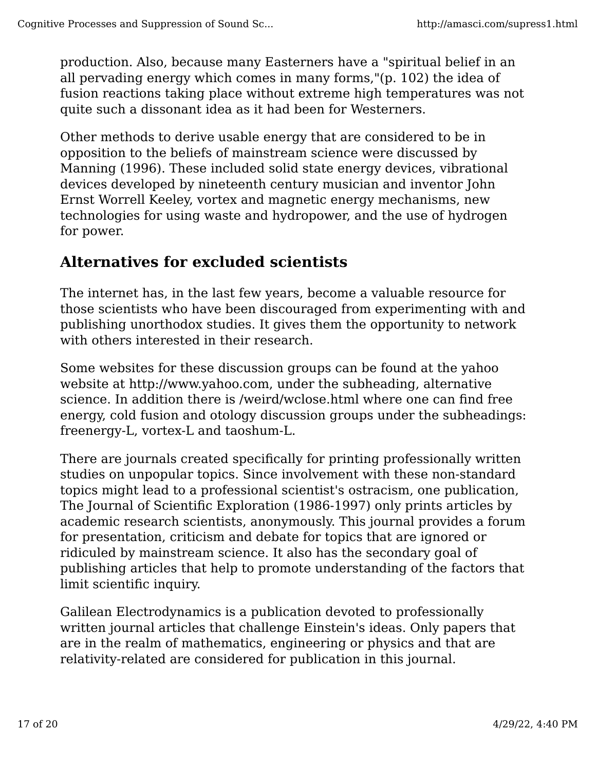production. Also, because many Easterners have a "spiritual belief in an all pervading energy which comes in many forms,"(p. 102) the idea of fusion reactions taking place without extreme high temperatures was not quite such a dissonant idea as it had been for Westerners.

Other methods to derive usable energy that are considered to be in opposition to the beliefs of mainstream science were discussed by Manning (1996). These included solid state energy devices, vibrational devices developed by nineteenth century musician and inventor John Ernst Worrell Keeley, vortex and magnetic energy mechanisms, new technologies for using waste and hydropower, and the use of hydrogen for power.

## **Alternatives for excluded scientists**

The internet has, in the last few years, become a valuable resource for those scientists who have been discouraged from experimenting with and publishing unorthodox studies. It gives them the opportunity to network with others interested in their research.

Some websites for these discussion groups can be found at the yahoo website at http://www.yahoo.com, under the subheading, alternative science. In addition there is /weird/wclose.html where one can find free energy, cold fusion and otology discussion groups under the subheadings: freenergy-L, vortex-L and taoshum-L.

There are journals created specifically for printing professionally written studies on unpopular topics. Since involvement with these non-standard topics might lead to a professional scientist's ostracism, one publication, The Journal of Scientific Exploration (1986-1997) only prints articles by academic research scientists, anonymously. This journal provides a forum for presentation, criticism and debate for topics that are ignored or ridiculed by mainstream science. It also has the secondary goal of publishing articles that help to promote understanding of the factors that limit scientific inquiry.

Galilean Electrodynamics is a publication devoted to professionally written journal articles that challenge Einstein's ideas. Only papers that are in the realm of mathematics, engineering or physics and that are relativity-related are considered for publication in this journal.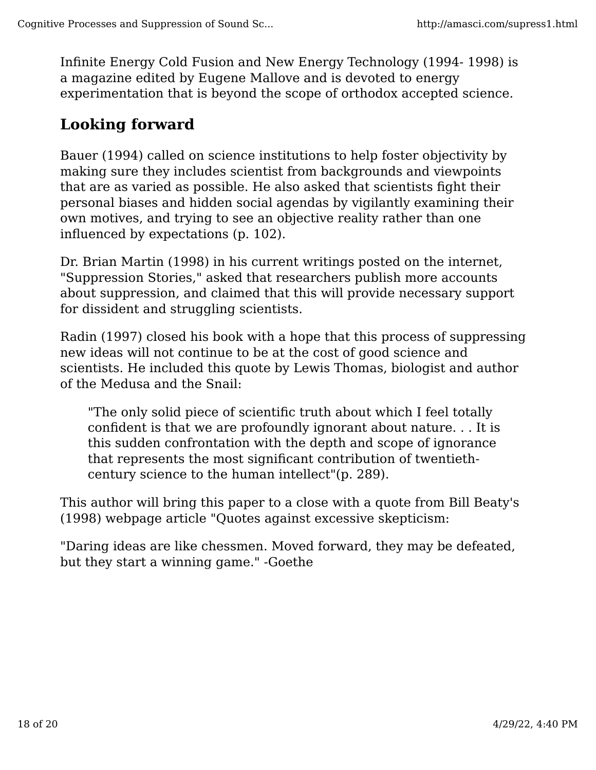Infinite Energy Cold Fusion and New Energy Technology (1994- 1998) is a magazine edited by Eugene Mallove and is devoted to energy experimentation that is beyond the scope of orthodox accepted science.

# **Looking forward**

Bauer (1994) called on science institutions to help foster objectivity by making sure they includes scientist from backgrounds and viewpoints that are as varied as possible. He also asked that scientists fight their personal biases and hidden social agendas by vigilantly examining their own motives, and trying to see an objective reality rather than one influenced by expectations (p. 102).

Dr. Brian Martin (1998) in his current writings posted on the internet, "Suppression Stories," asked that researchers publish more accounts about suppression, and claimed that this will provide necessary support for dissident and struggling scientists.

Radin (1997) closed his book with a hope that this process of suppressing new ideas will not continue to be at the cost of good science and scientists. He included this quote by Lewis Thomas, biologist and author of the Medusa and the Snail:

"The only solid piece of scientific truth about which I feel totally confident is that we are profoundly ignorant about nature. . . It is this sudden confrontation with the depth and scope of ignorance that represents the most significant contribution of twentiethcentury science to the human intellect"(p. 289).

This author will bring this paper to a close with a quote from Bill Beaty's (1998) webpage article "Quotes against excessive skepticism:

"Daring ideas are like chessmen. Moved forward, they may be defeated, but they start a winning game." -Goethe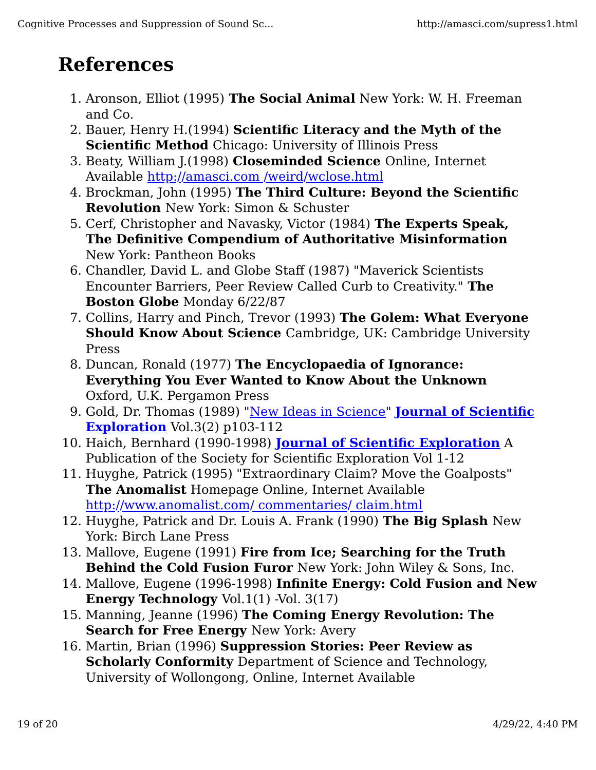# **References**

- 1. Aronson, Elliot (1995) **The Social Animal** New York: W. H. Freeman and Co.
- 2. Bauer, Henry H.(1994) **Scientific Literacy and the Myth of the Scientific Method** Chicago: University of Illinois Press
- 3. Beaty, William J.(1998) **Closeminded Science** Online, Internet Available http://amasci.com /weird/wclose.html
- 4. Brockman, John (1995) **The Third Culture: Beyond the Scientific Revolution** New York: Simon & Schuster
- 5. Cerf, Christopher and Navasky, Victor (1984) **The Experts Speak, The Definitive Compendium of Authoritative Misinformation** New York: Pantheon Books
- 6. Chandler, David L. and Globe Staff (1987) "Maverick Scientists Encounter Barriers, Peer Review Called Curb to Creativity." **The Boston Globe** Monday 6/22/87
- 7. Collins, Harry and Pinch, Trevor (1993) **The Golem: What Everyone Should Know About Science** Cambridge, UK: Cambridge University Press
- 8. Duncan, Ronald (1977) **The Encyclopaedia of Ignorance: Everything You Ever Wanted to Know About the Unknown** Oxford, U.K. Pergamon Press
- 9. Gold, Dr. Thomas (1989) "New Ideas in Science" **Journal of Scientific Exploration** Vol.3(2) p103-112
- 10. Haich, Bernhard (1990-1998) **Journal of Scientific Exploration** A Publication of the Society for Scientific Exploration Vol 1-12
- 11. Huyghe, Patrick (1995) "Extraordinary Claim? Move the Goalposts" **The Anomalist** Homepage Online, Internet Available http://www.anomalist.com/ commentaries/ claim.html
- 12. Huyghe, Patrick and Dr. Louis A. Frank (1990) **The Big Splash** New York: Birch Lane Press
- 13. Mallove, Eugene (1991) **Fire from Ice; Searching for the Truth Behind the Cold Fusion Furor** New York: John Wiley & Sons, Inc.
- 14. Mallove, Eugene (1996-1998) **Infinite Energy: Cold Fusion and New Energy Technology** Vol.1(1) -Vol. 3(17)
- 15. Manning, Jeanne (1996) **The Coming Energy Revolution: The Search for Free Energy** New York: Avery
- 16. Martin, Brian (1996) **Suppression Stories: Peer Review as Scholarly Conformity** Department of Science and Technology, University of Wollongong, Online, Internet Available